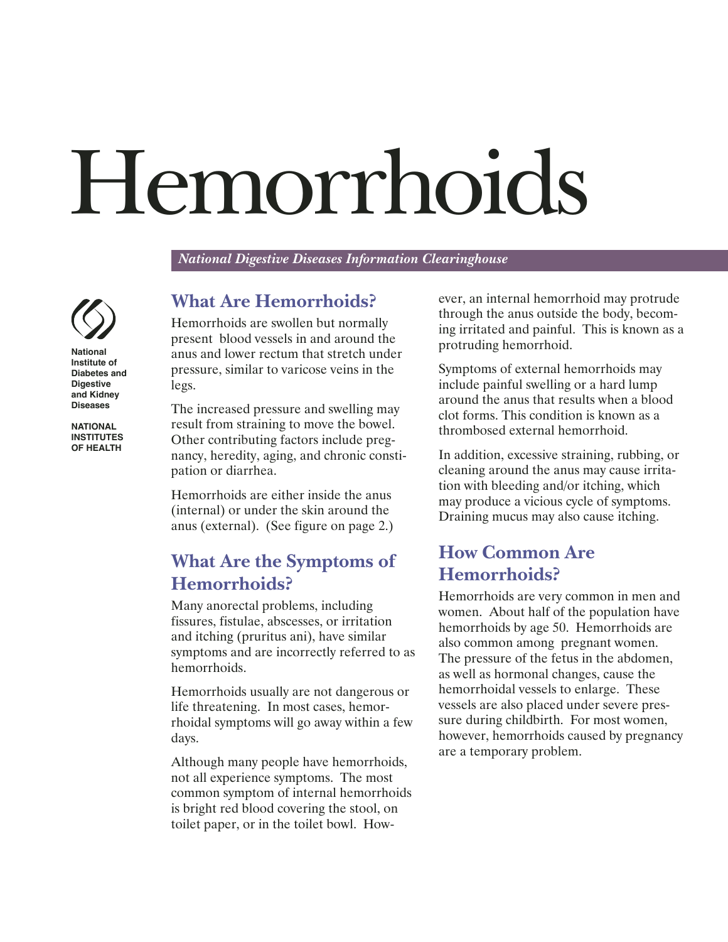# Hemorrhoids

*National Digestive Diseases Information Clearinghouse*



**National Institute of Diabetes and Digestive and Kidney Diseases**

**NATIONAL INSTITUTES OF HEALTH**

## **What Are Hemorrhoids?**

Hemorrhoids are swollen but normally present blood vessels in and around the anus and lower rectum that stretch under pressure, similar to varicose veins in the legs.

The increased pressure and swelling may result from straining to move the bowel. Other contributing factors include pregnancy, heredity, aging, and chronic constipation or diarrhea.

Hemorrhoids are either inside the anus (internal) or under the skin around the anus (external). (See figure on page 2.)

# **What Are the Symptoms of Hemorrhoids?**

Many anorectal problems, including fissures, fistulae, abscesses, or irritation and itching (pruritus ani), have similar symptoms and are incorrectly referred to as hemorrhoids.

Hemorrhoids usually are not dangerous or life threatening. In most cases, hemorrhoidal symptoms will go away within a few days.

Although many people have hemorrhoids, not all experience symptoms. The most common symptom of internal hemorrhoids is bright red blood covering the stool, on toilet paper, or in the toilet bowl. However, an internal hemorrhoid may protrude through the anus outside the body, becoming irritated and painful. This is known as a protruding hemorrhoid.

Symptoms of external hemorrhoids may include painful swelling or a hard lump around the anus that results when a blood clot forms. This condition is known as a thrombosed external hemorrhoid.

In addition, excessive straining, rubbing, or cleaning around the anus may cause irritation with bleeding and/or itching, which may produce a vicious cycle of symptoms. Draining mucus may also cause itching.

## **How Common Are Hemorrhoids?**

Hemorrhoids are very common in men and women. About half of the population have hemorrhoids by age 50. Hemorrhoids are also common among pregnant women. The pressure of the fetus in the abdomen, as well as hormonal changes, cause the hemorrhoidal vessels to enlarge. These vessels are also placed under severe pressure during childbirth. For most women, however, hemorrhoids caused by pregnancy are a temporary problem.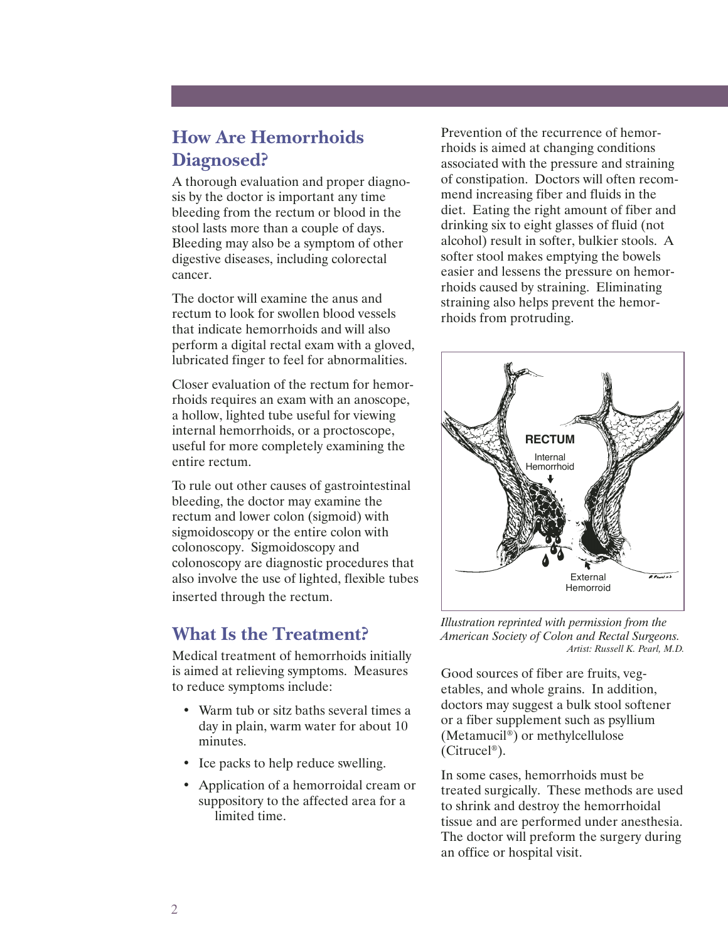# **How Are Hemorrhoids Diagnosed?**

A thorough evaluation and proper diagnosis by the doctor is important any time bleeding from the rectum or blood in the stool lasts more than a couple of days. Bleeding may also be a symptom of other digestive diseases, including colorectal cancer.

The doctor will examine the anus and rectum to look for swollen blood vessels that indicate hemorrhoids and will also perform a digital rectal exam with a gloved, lubricated finger to feel for abnormalities.

Closer evaluation of the rectum for hemorrhoids requires an exam with an anoscope, a hollow, lighted tube useful for viewing internal hemorrhoids, or a proctoscope, useful for more completely examining the entire rectum.

To rule out other causes of gastrointestinal bleeding, the doctor may examine the rectum and lower colon (sigmoid) with sigmoidoscopy or the entire colon with colonoscopy. Sigmoidoscopy and colonoscopy are diagnostic procedures that also involve the use of lighted, flexible tubes inserted through the rectum.

# **What Is the Treatment?**

Medical treatment of hemorrhoids initially is aimed at relieving symptoms. Measures to reduce symptoms include:

- Warm tub or sitz baths several times a day in plain, warm water for about 10 minutes.
- Ice packs to help reduce swelling.
- Application of a hemorroidal cream or suppository to the affected area for a limited time.

Prevention of the recurrence of hemorrhoids is aimed at changing conditions associated with the pressure and straining of constipation. Doctors will often recommend increasing fiber and fluids in the diet. Eating the right amount of fiber and drinking six to eight glasses of fluid (not alcohol) result in softer, bulkier stools. A softer stool makes emptying the bowels easier and lessens the pressure on hemorrhoids caused by straining. Eliminating straining also helps prevent the hemorrhoids from protruding.



*Illustration reprinted with permission from the American Society of Colon and Rectal Surgeons. Artist: Russell K. Pearl, M.D.*

Good sources of fiber are fruits, vegetables, and whole grains. In addition, doctors may suggest a bulk stool softener or a fiber supplement such as psyllium (Metamucil®) or methylcellulose (Citrucel®).

In some cases, hemorrhoids must be treated surgically. These methods are used to shrink and destroy the hemorrhoidal tissue and are performed under anesthesia. The doctor will preform the surgery during an office or hospital visit.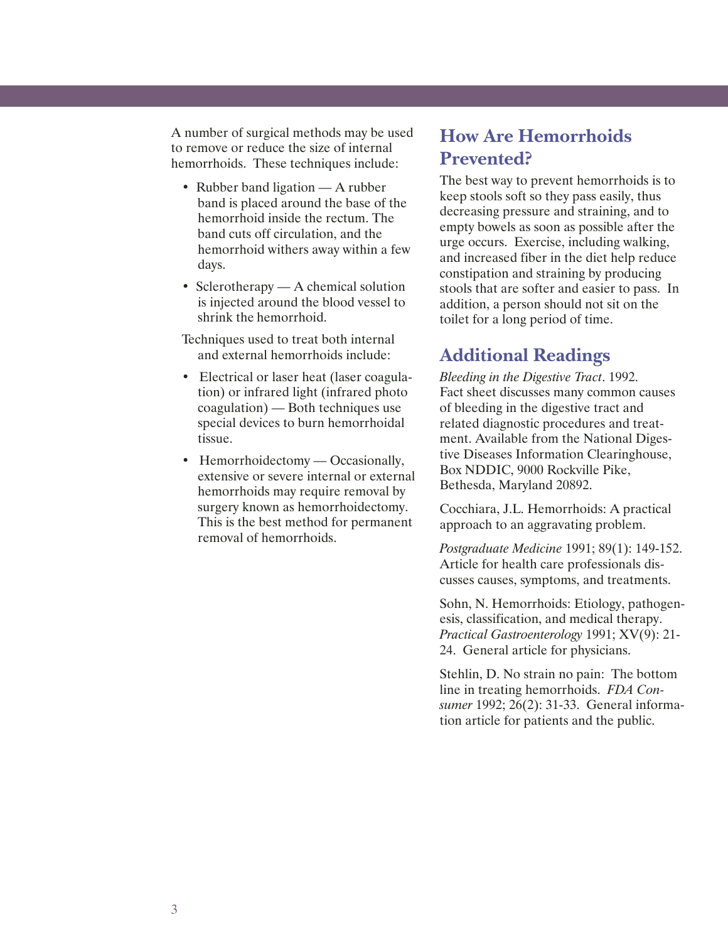A number of surgical methods may be used to remove or reduce the size of internal hemorrhoids. These techniques include:

- Rubber band ligation A rubber band is placed around the base of the hemorrhoid inside the rectum. The band cuts off circulation, and the hemorrhoid withers away within a few days.
- Sclerotherapy A chemical solution is injected around the blood vessel to shrink the hemorrhoid.

Techniques used to treat both internal and external hemorrhoids include:

- Electrical or laser heat (laser coagulation) or infrared light (infrared photo coagulation) — Both techniques use special devices to burn hemorrhoidal tissue.
- Hemorrhoidectomy Occasionally, extensive or severe internal or external hemorrhoids may require removal by surgery known as hemorrhoidectomy. This is the best method for permanent removal of hemorrhoids.

## **How Are Hemorrhoids Prevented?**

The best way to prevent hemorrhoids is to keep stools soft so they pass easily, thus decreasing pressure and straining, and to empty bowels as soon as possible after the urge occurs. Exercise, including walking, and increased fiber in the diet help reduce constipation and straining by producing stools that are softer and easier to pass. In addition, a person should not sit on the toilet for a long period of time.

#### **Additional Readings**

*Bleeding in the Digestive Tract*. 1992. Fact sheet discusses many common causes of bleeding in the digestive tract and related diagnostic procedures and treatment. Available from the National Digestive Diseases Information Clearinghouse, Box NDDIC, 9000 Rockville Pike, Bethesda, Maryland 20892.

Cocchiara, J.L. Hemorrhoids: A practical approach to an aggravating problem.

*Postgraduate Medicine* 1991; 89(1): 149-152. Article for health care professionals discusses causes, symptoms, and treatments.

Sohn, N. Hemorrhoids: Etiology, pathogenesis, classification, and medical therapy. *Practical Gastroenterology* 1991; XV(9): 21- 24. General article for physicians.

Stehlin, D. No strain no pain: The bottom line in treating hemorrhoids. *FDA Consumer* 1992; 26(2): 31-33. General information article for patients and the public.